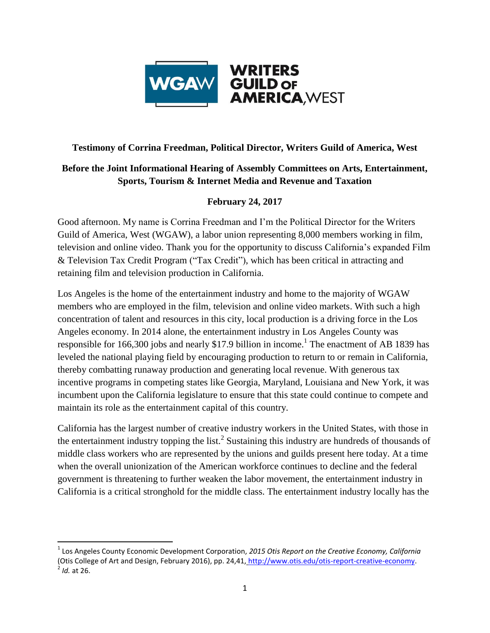

## **Testimony of Corrina Freedman, Political Director, Writers Guild of America, West**

## **Before the Joint Informational Hearing of Assembly Committees on Arts, Entertainment, Sports, Tourism & Internet Media and Revenue and Taxation**

## **February 24, 2017**

Good afternoon. My name is Corrina Freedman and I'm the Political Director for the Writers Guild of America, West (WGAW), a labor union representing 8,000 members working in film, television and online video. Thank you for the opportunity to discuss California's expanded Film & Television Tax Credit Program ("Tax Credit"), which has been critical in attracting and retaining film and television production in California.

Los Angeles is the home of the entertainment industry and home to the majority of WGAW members who are employed in the film, television and online video markets. With such a high concentration of talent and resources in this city, local production is a driving force in the Los Angeles economy. In 2014 alone, the entertainment industry in Los Angeles County was responsible for 166,300 jobs and nearly \$17.9 billion in income.<sup>1</sup> The enactment of AB 1839 has leveled the national playing field by encouraging production to return to or remain in California, thereby combatting runaway production and generating local revenue. With generous tax incentive programs in competing states like Georgia, Maryland, Louisiana and New York, it was incumbent upon the California legislature to ensure that this state could continue to compete and maintain its role as the entertainment capital of this country.

California has the largest number of creative industry workers in the United States, with those in the entertainment industry topping the list.<sup>2</sup> Sustaining this industry are hundreds of thousands of middle class workers who are represented by the unions and guilds present here today. At a time when the overall unionization of the American workforce continues to decline and the federal government is threatening to further weaken the labor movement, the entertainment industry in California is a critical stronghold for the middle class. The entertainment industry locally has the

 $\overline{\phantom{a}}$ 

<sup>1</sup> Los Angeles County Economic Development Corporation, *2015 Otis Report on the Creative Economy, California*  (Otis College of Art and Design, February 2016), pp. 24,41, [http://www.otis.edu/otis-report-creative-economy.](http://www.otis.edu/otis-report-creative-economy) 2 *Id.* at 26.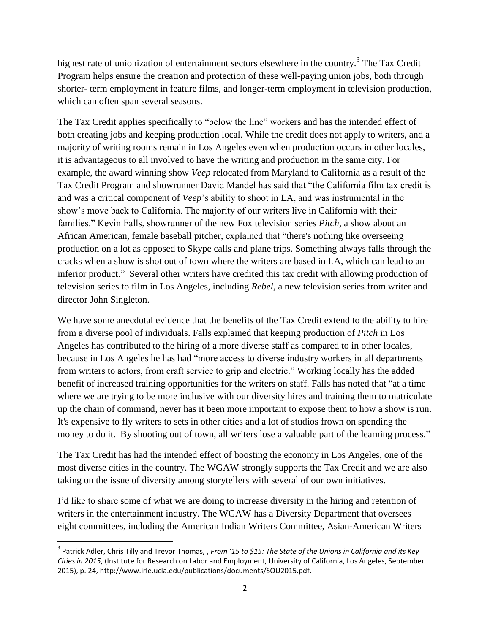highest rate of unionization of entertainment sectors elsewhere in the country.<sup>3</sup> The Tax Credit Program helps ensure the creation and protection of these well-paying union jobs, both through shorter- term employment in feature films, and longer-term employment in television production, which can often span several seasons.

The Tax Credit applies specifically to "below the line" workers and has the intended effect of both creating jobs and keeping production local. While the credit does not apply to writers, and a majority of writing rooms remain in Los Angeles even when production occurs in other locales, it is advantageous to all involved to have the writing and production in the same city. For example, the award winning show *Veep* relocated from Maryland to California as a result of the Tax Credit Program and showrunner David Mandel has said that "the California film tax credit is and was a critical component of *Veep*'s ability to shoot in LA, and was instrumental in the show's move back to California. The majority of our writers live in California with their families." Kevin Falls, showrunner of the new Fox television series *Pitch*, a show about an African American, female baseball pitcher, explained that "there's nothing like overseeing production on a lot as opposed to Skype calls and plane trips. Something always falls through the cracks when a show is shot out of town where the writers are based in LA, which can lead to an inferior product." Several other writers have credited this tax credit with allowing production of television series to film in Los Angeles, including *Rebel*, a new television series from writer and director John Singleton.

We have some anecdotal evidence that the benefits of the Tax Credit extend to the ability to hire from a diverse pool of individuals. Falls explained that keeping production of *Pitch* in Los Angeles has contributed to the hiring of a more diverse staff as compared to in other locales, because in Los Angeles he has had "more access to diverse industry workers in all departments from writers to actors, from craft service to grip and electric." Working locally has the added benefit of increased training opportunities for the writers on staff. Falls has noted that "at a time where we are trying to be more inclusive with our diversity hires and training them to matriculate up the chain of command, never has it been more important to expose them to how a show is run. It's expensive to fly writers to sets in other cities and a lot of studios frown on spending the money to do it. By shooting out of town, all writers lose a valuable part of the learning process."

The Tax Credit has had the intended effect of boosting the economy in Los Angeles, one of the most diverse cities in the country. The WGAW strongly supports the Tax Credit and we are also taking on the issue of diversity among storytellers with several of our own initiatives.

I'd like to share some of what we are doing to increase diversity in the hiring and retention of writers in the entertainment industry. The WGAW has a Diversity Department that oversees eight committees, including the American Indian Writers Committee, Asian-American Writers

 $\overline{\phantom{a}}$ 

<sup>3</sup> Patrick Adler, Chris Tilly and Trevor Thomas, , *From '15 to \$15: The State of the Unions in California and its Key Cities in 2015*, (Institute for Research on Labor and Employment, University of California, Los Angeles, September 2015), p. 24, http://www.irle.ucla.edu/publications/documents/SOU2015.pdf.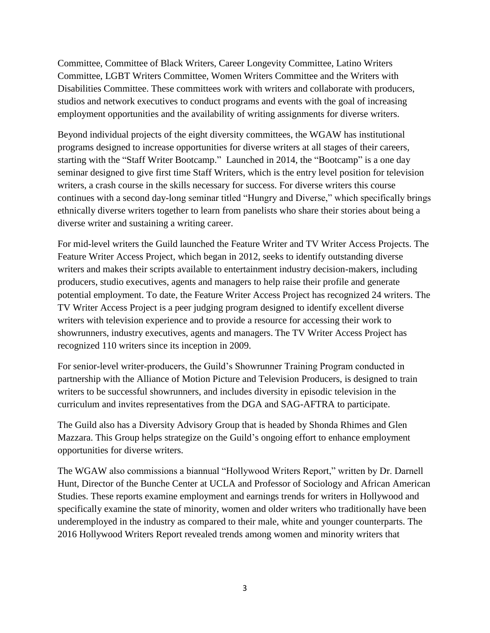Committee, Committee of Black Writers, Career Longevity Committee, Latino Writers Committee, LGBT Writers Committee, Women Writers Committee and the Writers with Disabilities Committee. These committees work with writers and collaborate with producers, studios and network executives to conduct programs and events with the goal of increasing employment opportunities and the availability of writing assignments for diverse writers.

Beyond individual projects of the eight diversity committees, the WGAW has institutional programs designed to increase opportunities for diverse writers at all stages of their careers, starting with the "Staff Writer Bootcamp." Launched in 2014, the "Bootcamp" is a one day seminar designed to give first time Staff Writers, which is the entry level position for television writers, a crash course in the skills necessary for success. For diverse writers this course continues with a second day-long seminar titled "Hungry and Diverse," which specifically brings ethnically diverse writers together to learn from panelists who share their stories about being a diverse writer and sustaining a writing career.

For mid-level writers the Guild launched the Feature Writer and TV Writer Access Projects. The Feature Writer Access Project, which began in 2012, seeks to identify outstanding diverse writers and makes their scripts available to entertainment industry decision-makers, including producers, studio executives, agents and managers to help raise their profile and generate potential employment. To date, the Feature Writer Access Project has recognized 24 writers. The TV Writer Access Project is a peer judging program designed to identify excellent diverse writers with television experience and to provide a resource for accessing their work to showrunners, industry executives, agents and managers. The TV Writer Access Project has recognized 110 writers since its inception in 2009.

For senior-level writer-producers, the Guild's Showrunner Training Program conducted in partnership with the Alliance of Motion Picture and Television Producers, is designed to train writers to be successful showrunners, and includes diversity in episodic television in the curriculum and invites representatives from the DGA and SAG-AFTRA to participate.

The Guild also has a Diversity Advisory Group that is headed by Shonda Rhimes and Glen Mazzara. This Group helps strategize on the Guild's ongoing effort to enhance employment opportunities for diverse writers.

The WGAW also commissions a biannual "Hollywood Writers Report," written by Dr. Darnell Hunt, Director of the Bunche Center at UCLA and Professor of Sociology and African American Studies. These reports examine employment and earnings trends for writers in Hollywood and specifically examine the state of minority, women and older writers who traditionally have been underemployed in the industry as compared to their male, white and younger counterparts. The 2016 Hollywood Writers Report revealed trends among women and minority writers that